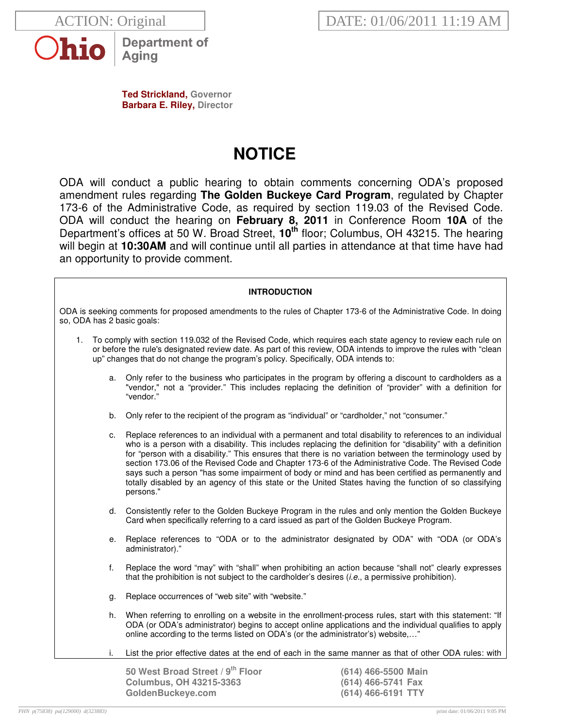



**Department of** Aging

**Ted Strickland, Governor Barbara E. Riley, Director** 

# **NOTICE**

ODA will conduct a public hearing to obtain comments concerning ODA's proposed amendment rules regarding **The Golden Buckeye Card Program**, regulated by Chapter 173-6 of the Administrative Code, as required by section 119.03 of the Revised Code. ODA will conduct the hearing on **February 8, 2011** in Conference Room **10A** of the Department's offices at 50 W. Broad Street, **10th** floor; Columbus, OH 43215. The hearing will begin at **10:30AM** and will continue until all parties in attendance at that time have had an opportunity to provide comment.

## **INTRODUCTION**

ODA is seeking comments for proposed amendments to the rules of Chapter 173-6 of the Administrative Code. In doing so, ODA has 2 basic goals:

- 1. To comply with section 119.032 of the Revised Code, which requires each state agency to review each rule on or before the rule's designated review date. As part of this review, ODA intends to improve the rules with "clean up" changes that do not change the program's policy. Specifically, ODA intends to:
	- a. Only refer to the business who participates in the program by offering a discount to cardholders as a "vendor," not a "provider." This includes replacing the definition of "provider" with a definition for "vendor."
	- b. Only refer to the recipient of the program as "individual" or "cardholder," not "consumer."
	- c. Replace references to an individual with a permanent and total disability to references to an individual who is a person with a disability. This includes replacing the definition for "disability" with a definition for "person with a disability." This ensures that there is no variation between the terminology used by section 173.06 of the Revised Code and Chapter 173-6 of the Administrative Code. The Revised Code says such a person "has some impairment of body or mind and has been certified as permanently and totally disabled by an agency of this state or the United States having the function of so classifying persons."
	- d. Consistently refer to the Golden Buckeye Program in the rules and only mention the Golden Buckeye Card when specifically referring to a card issued as part of the Golden Buckeye Program.
	- e. Replace references to "ODA or to the administrator designated by ODA" with "ODA (or ODA's administrator)."
	- f. Replace the word "may" with "shall" when prohibiting an action because "shall not" clearly expresses that the prohibition is not subject to the cardholder's desires  $(i.e., a$  permissive prohibition).
	- g. Replace occurrences of "web site" with "website."
	- h. When referring to enrolling on a website in the enrollment-process rules, start with this statement: "If ODA (or ODA's administrator) begins to accept online applications and the individual qualifies to apply online according to the terms listed on ODA's (or the administrator's) website,…"
	- i. List the prior effective dates at the end of each in the same manner as that of other ODA rules: with

**50 West Broad Street / 9th Floor (614) 466-5500 Main Columbus, OH 43215-3363 (614) 466-5741 Fax GoldenBuckeye.com (614) 466-6191 TTY**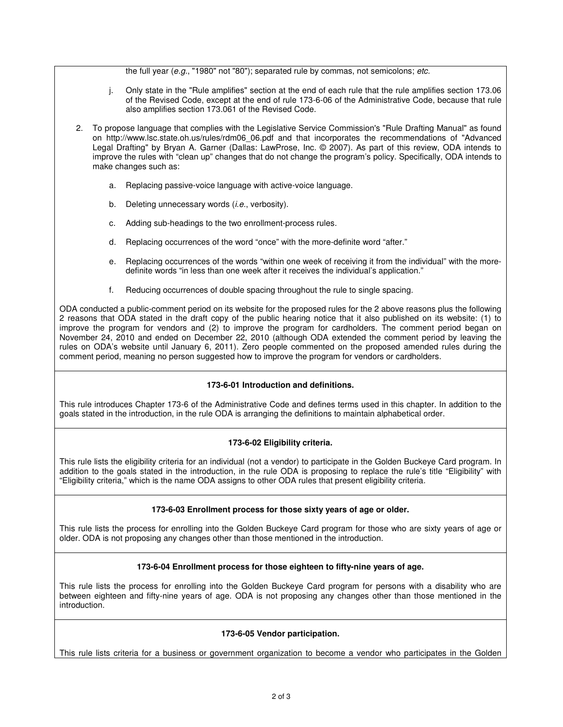the full year (e.g., "1980" not "80"); separated rule by commas, not semicolons; etc.

- j. Only state in the "Rule amplifies" section at the end of each rule that the rule amplifies section 173.06 of the Revised Code, except at the end of rule 173-6-06 of the Administrative Code, because that rule also amplifies section 173.061 of the Revised Code.
- 2. To propose language that complies with the Legislative Service Commission's "Rule Drafting Manual" as found on http://www.lsc.state.oh.us/rules/rdm06\_06.pdf and that incorporates the recommendations of "Advanced Legal Drafting" by Bryan A. Garner (Dallas: LawProse, Inc. © 2007). As part of this review, ODA intends to improve the rules with "clean up" changes that do not change the program's policy. Specifically, ODA intends to make changes such as:
	- a. Replacing passive-voice language with active-voice language.
	- b. Deleting unnecessary words (*i.e.*, verbosity).
	- c. Adding sub-headings to the two enrollment-process rules.
	- d. Replacing occurrences of the word "once" with the more-definite word "after."
	- e. Replacing occurrences of the words "within one week of receiving it from the individual" with the moredefinite words "in less than one week after it receives the individual's application."
	- f. Reducing occurrences of double spacing throughout the rule to single spacing.

ODA conducted a public-comment period on its website for the proposed rules for the 2 above reasons plus the following 2 reasons that ODA stated in the draft copy of the public hearing notice that it also published on its website: (1) to improve the program for vendors and (2) to improve the program for cardholders. The comment period began on November 24, 2010 and ended on December 22, 2010 (although ODA extended the comment period by leaving the rules on ODA's website until January 6, 2011). Zero people commented on the proposed amended rules during the comment period, meaning no person suggested how to improve the program for vendors or cardholders.

## **173-6-01 Introduction and definitions.**

This rule introduces Chapter 173-6 of the Administrative Code and defines terms used in this chapter. In addition to the goals stated in the introduction, in the rule ODA is arranging the definitions to maintain alphabetical order.

## **173-6-02 Eligibility criteria.**

This rule lists the eligibility criteria for an individual (not a vendor) to participate in the Golden Buckeye Card program. In addition to the goals stated in the introduction, in the rule ODA is proposing to replace the rule's title "Eligibility" with "Eligibility criteria," which is the name ODA assigns to other ODA rules that present eligibility criteria.

## **173-6-03 Enrollment process for those sixty years of age or older.**

This rule lists the process for enrolling into the Golden Buckeye Card program for those who are sixty years of age or older. ODA is not proposing any changes other than those mentioned in the introduction.

## **173-6-04 Enrollment process for those eighteen to fifty-nine years of age.**

This rule lists the process for enrolling into the Golden Buckeye Card program for persons with a disability who are between eighteen and fifty-nine years of age. ODA is not proposing any changes other than those mentioned in the introduction.

#### **173-6-05 Vendor participation.**

This rule lists criteria for a business or government organization to become a vendor who participates in the Golden